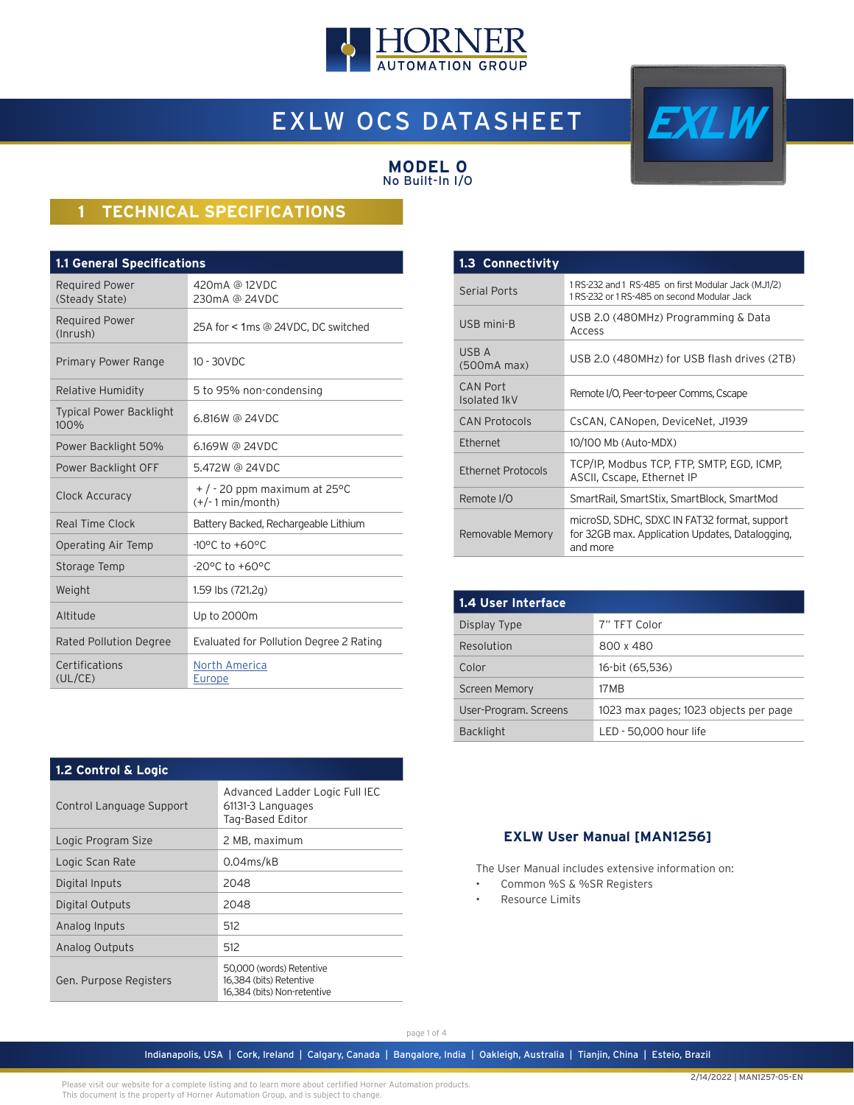

# EXLW OCS DATASHEET



#### **MODEL 0** No Built-In I/O

# **1 TECHNICAL SPECIFICATIONS**

| <b>1.1 General Specifications</b>       |                                                       |  |  |  |
|-----------------------------------------|-------------------------------------------------------|--|--|--|
| <b>Required Power</b><br>(Steady State) | 420mA @ 12VDC<br>230mA @ 24VDC                        |  |  |  |
| <b>Required Power</b><br>(Inrush)       | 25A for < 1ms @ 24VDC, DC switched                    |  |  |  |
| Primary Power Range                     | $10 - 30$ VDC                                         |  |  |  |
| <b>Relative Humidity</b>                | 5 to 95% non-condensing                               |  |  |  |
| <b>Typical Power Backlight</b><br>100%  | 6.816W @ 24VDC                                        |  |  |  |
| Power Backlight 50%                     | 6.169W @ 24VDC                                        |  |  |  |
| Power Backlight OFF                     | 5.472W @ 24VDC                                        |  |  |  |
| Clock Accuracy                          | $+$ / - 20 ppm maximum at 25 °C<br>$(+/-1$ min/month) |  |  |  |
| Real Time Clock                         | Battery Backed, Rechargeable Lithium                  |  |  |  |
| Operating Air Temp                      | $-10^{\circ}$ C to $+60^{\circ}$ C                    |  |  |  |
| Storage Temp                            | $-20^{\circ}$ C to $+60^{\circ}$ C                    |  |  |  |
| Weight                                  | 1.59 lbs (721.2g)                                     |  |  |  |
| Altitude                                | Up to 2000m                                           |  |  |  |
| Rated Pollution Degree                  | Evaluated for Pollution Degree 2 Rating               |  |  |  |
| Certifications<br>(UL/CE)               | North America<br>Europe                               |  |  |  |

| 1.3 Connectivity         |                                                                                                             |  |
|--------------------------|-------------------------------------------------------------------------------------------------------------|--|
| <b>Serial Ports</b>      | 1 RS-232 and 1 RS-485 on first Modular Jack (MJ1/2)<br>1 RS-232 or 1 RS-485 on second Modular Jack          |  |
| USB mini-B               | USB 2.0 (480MHz) Programming & Data<br>Access                                                               |  |
| USB A<br>(500mA max)     | USB 2.0 (480MHz) for USB flash drives (2TB)                                                                 |  |
| CAN Port<br>Isolated 1kV | Remote I/O, Peer-to-peer Comms, Cscape                                                                      |  |
| <b>CAN Protocols</b>     | CsCAN, CANopen, DeviceNet, J1939                                                                            |  |
| Ethernet                 | 10/100 Mb (Auto-MDX)                                                                                        |  |
| Ethernet Protocols       | TCP/IP, Modbus TCP, FTP, SMTP, EGD, ICMP,<br>ASCII, Cscape, Ethernet IP                                     |  |
| Remote I/O               | SmartRail, SmartStix, SmartBlock, SmartMod                                                                  |  |
| Removable Memory         | microSD, SDHC, SDXC IN FAT32 format, support<br>for 32GB max. Application Updates, Datalogging,<br>and more |  |

| 1.4 User Interface    |                                       |  |  |
|-----------------------|---------------------------------------|--|--|
| Display Type          | 7" TFT Color                          |  |  |
| Resolution            | 800 x 480                             |  |  |
| Color                 | 16-bit (65,536)                       |  |  |
| <b>Screen Memory</b>  | 17 M B                                |  |  |
| User-Program. Screens | 1023 max pages; 1023 objects per page |  |  |
| <b>Backlight</b>      | LED - 50,000 hour life                |  |  |

#### **1.2 Control & Logic**

| Control Language Support | Advanced Ladder Logic Full IEC<br>61131-3 Languages<br>Tag-Based Editor            |
|--------------------------|------------------------------------------------------------------------------------|
| Logic Program Size       | 2 MB, maximum                                                                      |
| Logic Scan Rate          | $0.04$ ms/kB                                                                       |
| Digital Inputs           | 2048                                                                               |
| Digital Outputs          | 2048                                                                               |
| Analog Inputs            | 512                                                                                |
| Analog Outputs           | 512                                                                                |
| Gen. Purpose Registers   | 50,000 (words) Retentive<br>16,384 (bits) Retentive<br>16,384 (bits) Non-retentive |

### **EXLW User Manual [MAN1256]**

The User Manual includes extensive information on:

- Common %S & %SR Registers
- Resource Limits

Please visit our website for a complete listing and to learn more about certified Horner Automation products. This document is the property of Horner Automation Group, and is subject to change.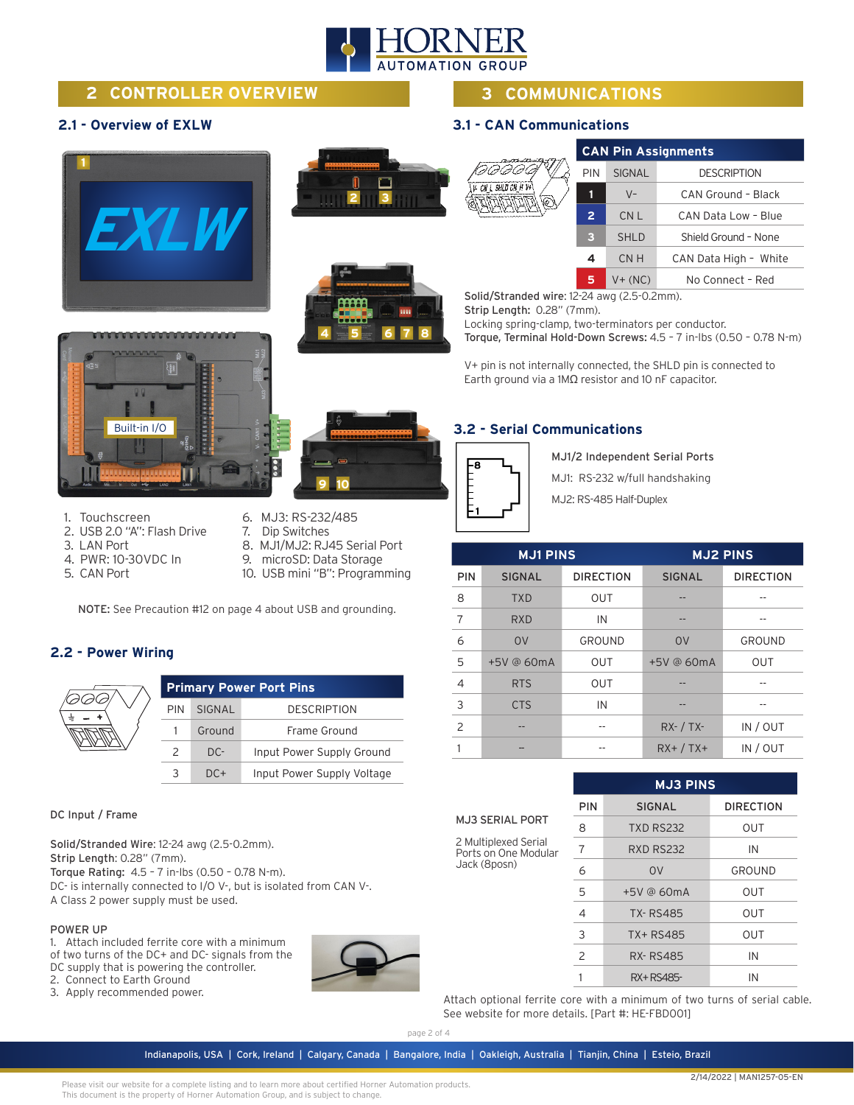

## **2 CONTROLLER OVERVIEW**

#### **2.1 - Overview of EXLW**







# **3 COMMUNICATIONS**

#### **3.1 - CAN Communications**

60  $V. \ C N L S H$ 

|            |                | <b>CAN Pin Assignments</b> |                       |  |  |
|------------|----------------|----------------------------|-----------------------|--|--|
|            | <b>PIN</b>     | <b>SIGNAL</b>              | <b>DESCRIPTION</b>    |  |  |
| LD CN H V+ | 1              | $V -$                      | CAN Ground - Black    |  |  |
|            | $\overline{2}$ | CN <sub>L</sub>            | CAN Data Low - Blue   |  |  |
|            | з              | <b>SHLD</b>                | Shield Ground - None  |  |  |
|            | 4              | CN H                       | CAN Data High - White |  |  |
|            | 5              | $V + (NC)$                 | No Connect - Red      |  |  |

Solid/Stranded wire: 12-24 awg (2.5-0.2mm).

Strip Length: 0.28" (7mm).

Locking spring-clamp, two-terminators per conductor.

Torque, Terminal Hold-Down Screws: 4.5 – 7 in-lbs (0.50 – 0.78 N-m)

V+ pin is not internally connected, the SHLD pin is connected to Earth ground via a 1MΩ resistor and 10 nF capacitor.



**9 10**

#### **3.2 - Serial Communications**



MJ1/2 Independent Serial Ports

MJ1: RS-232 w/full handshaking

MJ2: RS-485 Half-Duplex

|            | <b>MJ1 PINS</b> |                  | <b>MJ2 PINS</b> |                  |
|------------|-----------------|------------------|-----------------|------------------|
| <b>PIN</b> | <b>SIGNAL</b>   | <b>DIRECTION</b> | <b>SIGNAL</b>   | <b>DIRECTION</b> |
| 8          | <b>TXD</b>      | <b>OUT</b>       |                 |                  |
| 7          | <b>RXD</b>      | IN               |                 |                  |
| 6          | <b>OV</b>       | <b>GROUND</b>    | <b>OV</b>       | <b>GROUND</b>    |
| 5          | +5V @ 60mA      | <b>OUT</b>       | +5V @ 60mA      | <b>OUT</b>       |
| 4          | <b>RTS</b>      | <b>OUT</b>       |                 |                  |
| 3          | <b>CTS</b>      | IN               |                 |                  |
| 2          |                 |                  | $RX - / TX -$   | IN / OUT         |
|            |                 |                  | $RX+ / TX+$     | IN / OUT         |

|                                                              | <b>MJ3 PINS</b> |                  |                  |
|--------------------------------------------------------------|-----------------|------------------|------------------|
|                                                              | PIN             | <b>SIGNAL</b>    | <b>DIRECTION</b> |
| <b>MJ3 SERIAL PORT</b>                                       | 8               | <b>TXD RS232</b> | <b>OUT</b>       |
| 2 Multiplexed Serial<br>Ports on One Modular<br>Jack (8posn) |                 | <b>RXD RS232</b> | IN               |
|                                                              | 6               | 0 <sup>V</sup>   | GROUND           |
|                                                              | 5               | $+5V$ @ 60mA     | <b>OUT</b>       |
|                                                              | 4               | <b>TX-RS485</b>  | OUT              |
|                                                              | 3               | TX+RS485         | OUT              |
|                                                              | 2               | <b>RX-RS485</b>  | IN               |
|                                                              |                 | RX+RS485-        | IN               |

Attach optional ferrite core with a minimum of two turns of serial cable. See website for more details. [Part #: HE-FBD001]

- 1. Touchscreen
- 2. USB 2.0 "A": Flash Drive
- 3. LAN Port
- 4. PWR: 10-30VDC In
- 5. CAN Port
- 6. MJ3: RS-232/485 7. Dip Switches
- 8. MJ1/MJ2: RJ45 Serial Port
- 9. microSD: Data Storage
- 10. USB mini "B": Programming

NOTE: See Precaution #12 on page 4 about USB and grounding.

#### **2.2 - Power Wiring**



| <b>Primary Power Port Pins</b> |        |                            |
|--------------------------------|--------|----------------------------|
| <b>PIN</b>                     | SIGNAL | <b>DESCRIPTION</b>         |
|                                | Ground | Frame Ground               |
| $\mathcal{P}$                  | $DC-$  | Input Power Supply Ground  |
| 3                              | $DC+$  | Input Power Supply Voltage |

DC Input / Frame

Solid/Stranded Wire: 12-24 awg (2.5-0.2mm). Strip Length: 0.28" (7mm). Torque Rating: 4.5 – 7 in-lbs (0.50 – 0.78 N-m). DC- is internally connected to I/O V-, but is isolated from CAN V-. A Class 2 power supply must be used.

#### POWER UP

1. Attach included ferrite core with a minimum of two turns of the DC+ and DC- signals from the DC supply that is powering the controller. 2. Connect to Earth Ground

3. Apply recommended power.



### Indianapolis, USA | Cork, Ireland | Calgary, Canada | Bangalore, India | Oakleigh, Australia | Tianjin, China | Esteio, Brazil page 2 of 4

Please visit our website for a complete listing and to learn more about certified Horner Automation products. This document is the property of Horner Automation Group, and is subject to change.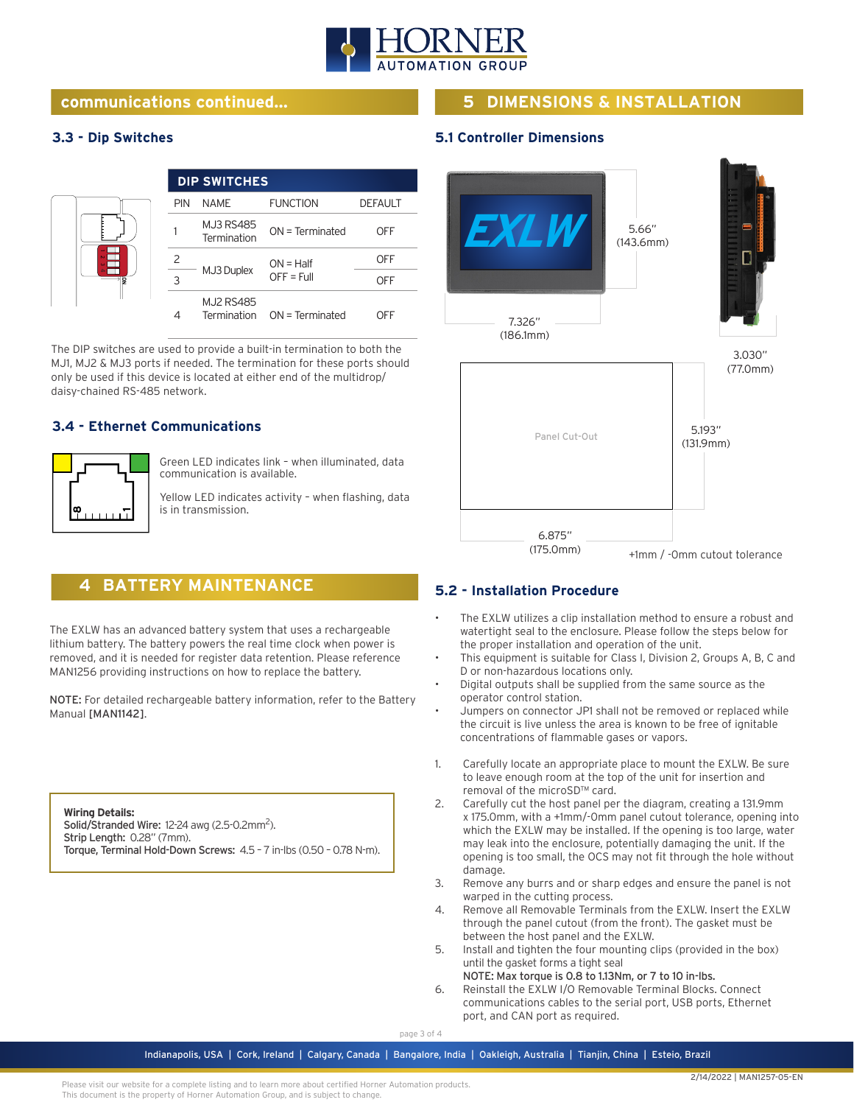

## **communications continued... 5 DIMENSIONS & INSTALLATION**

### **3.3 - Dip Switches**

|   |     | <b>DIP SWITCHES</b>             |                             |                |
|---|-----|---------------------------------|-----------------------------|----------------|
|   | PIN | NAME                            | <b>FUNCTION</b>             | <b>DEFAULT</b> |
| g |     | <b>MJ3 RS485</b><br>Termination | $ON = Terminated$           | OFF            |
|   |     | MJ3 Duplex                      | $ON = Half$<br>$OFF = Full$ | OFF            |
|   | κ   |                                 |                             | OFF            |
|   | 4   | <b>MJ2 RS485</b>                | Termination ON = Terminated | )EE            |

The DIP switches are used to provide a built-in termination to both the MJ1, MJ2 & MJ3 ports if needed. The termination for these ports should only be used if this device is located at either end of the multidrop/ daisy-chained RS-485 network.

**4 BATTERY MAINTENANCE**

The EXLW has an advanced battery system that uses a rechargeable lithium battery. The battery powers the real time clock when power is removed, and it is needed for register data retention. Please reference MAN1256 providing instructions on how to replace the battery.

NOTE: For detailed rechargeable battery information, refer to the Battery

Torque, Terminal Hold-Down Screws: 4.5 – 7 in-lbs (0.50 – 0.78 N-m).

### **3.4 - Ethernet Communications**



Manual [MAN1142].

**Wiring Details:**

Strip Length: 0.28" (7mm).

Solid/Stranded Wire: 12-24 awg (2.5-0.2mm<sup>2</sup>).

Green LED indicates link – when illuminated, data communication is available.

Yellow LED indicates activity – when flashing, data is in transmission.



#### **5.2 - Installation Procedure**

**5.1 Controller Dimensions**

- The EXLW utilizes a clip installation method to ensure a robust and watertight seal to the enclosure. Please follow the steps below for the proper installation and operation of the unit.
- This equipment is suitable for Class I, Division 2, Groups A, B, C and D or non-hazardous locations only.
- Digital outputs shall be supplied from the same source as the operator control station.
- Jumpers on connector JP1 shall not be removed or replaced while the circuit is live unless the area is known to be free of ignitable concentrations of flammable gases or vapors.
- 1. Carefully locate an appropriate place to mount the EXLW. Be sure to leave enough room at the top of the unit for insertion and removal of the microSD™ card.
- 2. Carefully cut the host panel per the diagram, creating a 131.9mm x 175.0mm, with a +1mm/-0mm panel cutout tolerance, opening into which the EXLW may be installed. If the opening is too large, water may leak into the enclosure, potentially damaging the unit. If the opening is too small, the OCS may not fit through the hole without damage.
- 3. Remove any burrs and or sharp edges and ensure the panel is not warped in the cutting process.
- 4. Remove all Removable Terminals from the EXLW. Insert the EXLW through the panel cutout (from the front). The gasket must be between the host panel and the EXLW.
- 5. Install and tighten the four mounting clips (provided in the box) until the gasket forms a tight seal
- NOTE: Max torque is 0.8 to 1.13Nm, or 7 to 10 in-lbs. 6. Reinstall the EXLW I/O Removable Terminal Blocks. Connect communications cables to the serial port, USB ports, Ethernet port, and CAN port as required.

#### page 3 of 4

Indianapolis, USA | Cork, Ireland | Calgary, Canada | Bangalore, India | Oakleigh, Australia | Tianjin, China | Esteio, Brazil